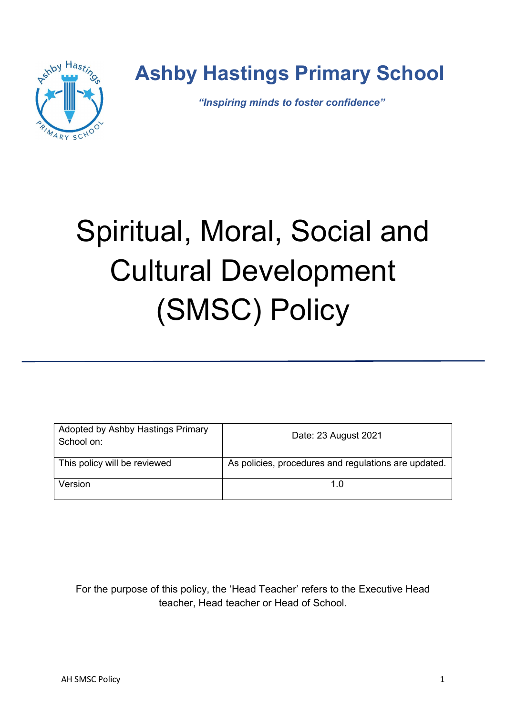

## Ashby Hastings Primary School

"Inspiring minds to foster confidence"

# Spiritual, Moral, Social and Cultural Development (SMSC) Policy

| Adopted by Ashby Hastings Primary<br>School on: | Date: 23 August 2021                                 |
|-------------------------------------------------|------------------------------------------------------|
| This policy will be reviewed                    | As policies, procedures and regulations are updated. |
| Version                                         | 1 በ                                                  |

For the purpose of this policy, the 'Head Teacher' refers to the Executive Head teacher, Head teacher or Head of School.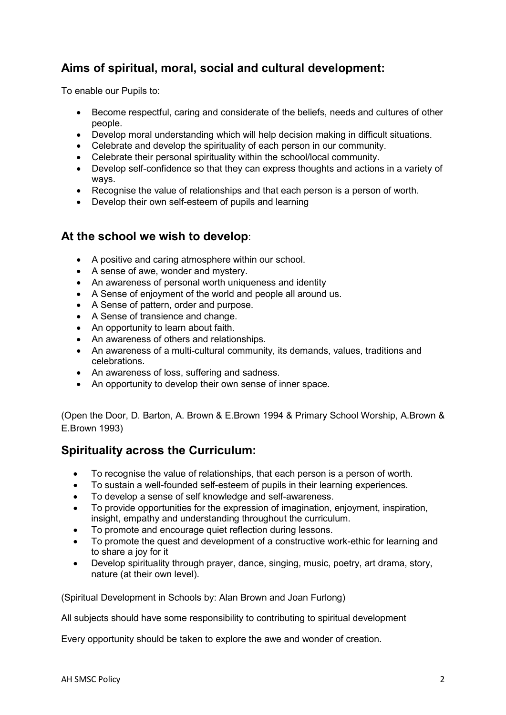### Aims of spiritual, moral, social and cultural development:

To enable our Pupils to:

- Become respectful, caring and considerate of the beliefs, needs and cultures of other people.
- Develop moral understanding which will help decision making in difficult situations.
- Celebrate and develop the spirituality of each person in our community.
- Celebrate their personal spirituality within the school/local community.
- Develop self-confidence so that they can express thoughts and actions in a variety of ways.
- Recognise the value of relationships and that each person is a person of worth.
- Develop their own self-esteem of pupils and learning

#### At the school we wish to develop:

- A positive and caring atmosphere within our school.
- A sense of awe, wonder and mystery.
- An awareness of personal worth uniqueness and identity
- A Sense of enjoyment of the world and people all around us.
- A Sense of pattern, order and purpose.
- A Sense of transience and change.
- An opportunity to learn about faith.
- An awareness of others and relationships.
- An awareness of a multi-cultural community, its demands, values, traditions and celebrations.
- An awareness of loss, suffering and sadness.
- An opportunity to develop their own sense of inner space.

(Open the Door, D. Barton, A. Brown & E.Brown 1994 & Primary School Worship, A.Brown & E.Brown 1993)

#### Spirituality across the Curriculum:

- To recognise the value of relationships, that each person is a person of worth.
- To sustain a well-founded self-esteem of pupils in their learning experiences.
- To develop a sense of self knowledge and self-awareness.
- To provide opportunities for the expression of imagination, enjoyment, inspiration, insight, empathy and understanding throughout the curriculum.
- To promote and encourage quiet reflection during lessons.
- To promote the quest and development of a constructive work-ethic for learning and to share a joy for it
- Develop spirituality through prayer, dance, singing, music, poetry, art drama, story, nature (at their own level).

(Spiritual Development in Schools by: Alan Brown and Joan Furlong)

All subjects should have some responsibility to contributing to spiritual development

Every opportunity should be taken to explore the awe and wonder of creation.